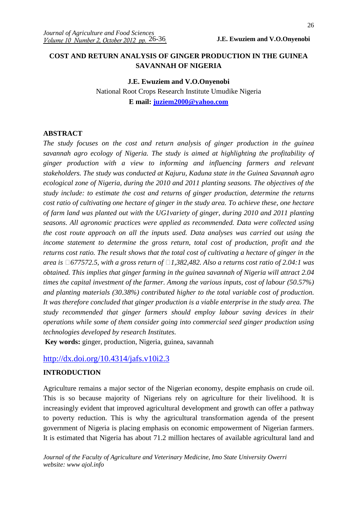# **COST AND RETURN ANALYSIS OF GINGER PRODUCTION IN THE GUINEA SAVANNAH OF NIGERIA**

# **J.E. Ewuziem and V.O.Onyenobi**  National Root Crops Research Institute Umudike Nigeria **E mail: juziem2000@yahoo.com**

#### **ABSTRACT**

*The study focuses on the cost and return analysis of ginger production in the guinea savannah agro ecology of Nigeria. The study is aimed at highlighting the profitability of ginger production with a view to informing and influencing farmers and relevant stakeholders. The study was conducted at Kajuru, Kaduna state in the Guinea Savannah agro ecological zone of Nigeria, during the 2010 and 2011 planting seasons. The objectives of the study include: to estimate the cost and returns of ginger production, determine the returns cost ratio of cultivating one hectare of ginger in the study area. To achieve these, one hectare of farm land was planted out with the UG1variety of ginger, during 2010 and 2011 planting seasons. All agronomic practices were applied as recommended. Data were collected using the cost route approach on all the inputs used. Data analyses was carried out using the income statement to determine the gross return, total cost of production, profit and the returns cost ratio. The result shows that the total cost of cultivating a hectare of ginger in the area is 677572.5, with a gross return of 1,382,482. Also a returns cost ratio of 2.04:1 was obtained. This implies that ginger farming in the guinea savannah of Nigeria will attract 2.04 times the capital investment of the farmer. Among the various inputs, cost of labour (50.57%) and planting materials (30.38%) contributed higher to the total variable cost of production. It was therefore concluded that ginger production is a viable enterprise in the study area. The study recommended that ginger farmers should employ labour saving devices in their operations while some of them consider going into commercial seed ginger production using technologies developed by research Institutes.* 

**Key words:** ginger, production, Nigeria, guinea, savannah

### http://dx.doi.org/10.4314/jafs.v10i2.3

#### **INTRODUCTION**

Agriculture remains a major sector of the Nigerian economy, despite emphasis on crude oil. This is so because majority of Nigerians rely on agriculture for their livelihood. It is increasingly evident that improved agricultural development and growth can offer a pathway to poverty reduction. This is why the agricultural transformation agenda of the present government of Nigeria is placing emphasis on economic empowerment of Nigerian farmers. It is estimated that Nigeria has about 71.2 million hectares of available agricultural land and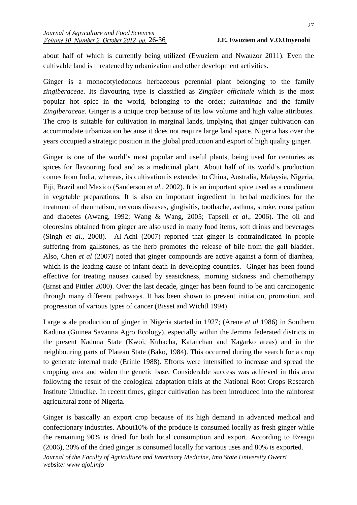about half of which is currently being utilized (Ewuziem and Nwauzor 2011). Even the cultivable land is threatened by urbanization and other development activities.

Ginger is a monocotyledonous herbaceous perennial plant belonging to the family *zingiberaceae*. Its flavouring type is classified as *Zingiber officinale* which is the most popular hot spice in the world, belonging to the order; *suitaminae* and the family *Zingiberaceae.* Ginger is a unique crop because of its low volume and high value attributes. The crop is suitable for cultivation in marginal lands, implying that ginger cultivation can accommodate urbanization because it does not require large land space. Nigeria has over the years occupied a strategic position in the global production and export of high quality ginger.

Ginger is one of the world's most popular and useful plants, being used for centuries as spices for flavouring food and as a medicinal plant. About half of its world's production comes from India, whereas, its cultivation is extended to China, Australia, Malaysia, Nigeria, Fiji, Brazil and Mexico (Sanderson *et al.*, 2002). It is an important spice used as a condiment in vegetable preparations. It is also an important ingredient in herbal medicines for the treatment of rheumatism, nervous diseases, gingivitis, toothache, asthma, stroke, constipation and diabetes (Awang, 1992; Wang & Wang, 2005; Tapsell *et al*., 2006). The oil and oleoresins obtained from ginger are also used in many food items, soft drinks and beverages (Singh *et al*., 2008). Al-Achi (2007) reported that ginger is contraindicated in people suffering from gallstones, as the herb promotes the release of bile from the gall bladder. Also, Chen *et al* (2007) noted that ginger compounds are active against a form of diarrhea, which is the leading cause of infant death in developing countries. Ginger has been found effective for treating nausea caused by seasickness, morning sickness and chemotherapy (Ernst and Pittler 2000). Over the last decade, ginger has been found to be anti carcinogenic through many different pathways. It has been shown to prevent initiation, promotion, and progression of various types of cancer (Bisset and Wichtl 1994).

Large scale production of ginger in Nigeria started in 1927; (Arene *et al* 1986) in Southern Kaduna (Guinea Savanna Agro Ecology), especially within the Jemma federated districts in the present Kaduna State (Kwoi, Kubacha, Kafanchan and Kagarko areas) and in the neighbouring parts of Plateau State (Bako, 1984). This occurred during the search for a crop to generate internal trade (Erinle 1988). Efforts were intensified to increase and spread the cropping area and widen the genetic base. Considerable success was achieved in this area following the result of the ecological adaptation trials at the National Root Crops Research Institute Umudike. In recent times, ginger cultivation has been introduced into the rainforest agricultural zone of Nigeria.

*Journal of the Faculty of Agriculture and Veterinary Medicine, Imo State University Owerri website: www ajol.info*  Ginger is basically an export crop because of its high demand in advanced medical and confectionary industries. About10% of the produce is consumed locally as fresh ginger while the remaining 90% is dried for both local consumption and export. According to Ezeagu (2006), 20% of the dried ginger is consumed locally for various uses and 80% is exported.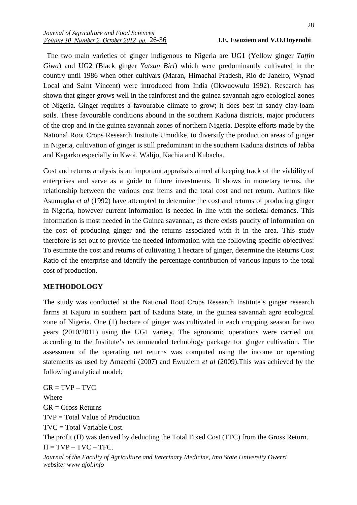The two main varieties of ginger indigenous to Nigeria are UG1 (Yellow ginger *Taffin Giwa*) and UG2 (Black ginger *Yatsun Biri*) which were predominantly cultivated in the country until 1986 when other cultivars (Maran, Himachal Pradesh, Rio de Janeiro, Wynad Local and Saint Vincent) were introduced from India (Okwuowulu 1992). Research has shown that ginger grows well in the rainforest and the guinea savannah agro ecological zones of Nigeria. Ginger requires a favourable climate to grow; it does best in sandy clay-loam soils. These favourable conditions abound in the southern Kaduna districts, major producers of the crop and in the guinea savannah zones of northern Nigeria. Despite efforts made by the National Root Crops Research Institute Umudike, to diversify the production areas of ginger in Nigeria, cultivation of ginger is still predominant in the southern Kaduna districts of Jabba and Kagarko especially in Kwoi, Walijo, Kachia and Kubacha.

Cost and returns analysis is an important appraisals aimed at keeping track of the viability of enterprises and serve as a guide to future investments. It shows in monetary terms, the relationship between the various cost items and the total cost and net return. Authors like Asumugha *et al* (1992) have attempted to determine the cost and returns of producing ginger in Nigeria, however current information is needed in line with the societal demands. This information is most needed in the Guinea savannah, as there exists paucity of information on the cost of producing ginger and the returns associated with it in the area. This study therefore is set out to provide the needed information with the following specific objectives: To estimate the cost and returns of cultivating 1 hectare of ginger, determine the Returns Cost Ratio of the enterprise and identify the percentage contribution of various inputs to the total cost of production.

#### **METHODOLOGY**

The study was conducted at the National Root Crops Research Institute's ginger research farms at Kajuru in southern part of Kaduna State, in the guinea savannah agro ecological zone of Nigeria. One (1) hectare of ginger was cultivated in each cropping season for two years (2010/2011) using the UG1 variety. The agronomic operations were carried out according to the Institute's recommended technology package for ginger cultivation. The assessment of the operating net returns was computed using the income or operating statements as used by Amaechi (2007) and Ewuziem *et al* (2009).This was achieved by the following analytical model;

*Journal of the Faculty of Agriculture and Veterinary Medicine, Imo State University Owerri website: www ajol.info*   $GR = TVP - TVC$ Where  $GR = Gross$  Returns TVP = Total Value of Production TVC = Total Variable Cost. The profit (Π) was derived by deducting the Total Fixed Cost (TFC) from the Gross Return.  $\Pi = TVP - TVC - TFC.$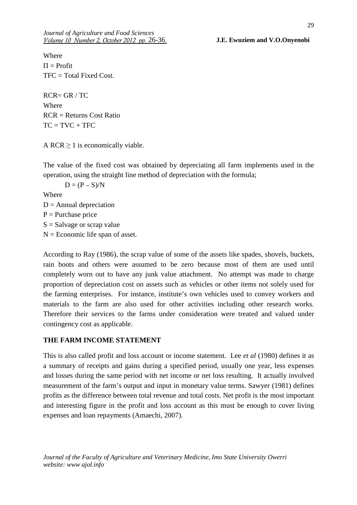*Journal of Agriculture and Food Sciences Volume 10 Number 2, October 2012 pp.* 26-36.

26-36 **J.E. Ewuziem and V.O.Onyenobi** 

Where  $\Pi$  = Profit  $TFC = Total Fixed Cost.$ 

RCR= GR / TC Where RCR = Returns Cost Ratio  $TC = TVC + TFC$ 

A RCR  $\geq$  1 is economically viable.

The value of the fixed cost was obtained by depreciating all farm implements used in the operation, using the straight line method of depreciation with the formula;

 $D = (P - S)/N$ 

Where

 $D =$  Annual depreciation

 $P =$  Purchase price

 $S =$ Salvage or scrap value

 $N =$  Economic life span of asset.

According to Ray (1986), the scrap value of some of the assets like spades, shovels, buckets, rain boots and others were assumed to be zero because most of them are used until completely worn out to have any junk value attachment. No attempt was made to charge proportion of depreciation cost on assets such as vehicles or other items not solely used for the farming enterprises. For instance, institute's own vehicles used to convey workers and materials to the farm are also used for other activities including other research works. Therefore their services to the farms under consideration were treated and valued under contingency cost as applicable.

### **THE FARM INCOME STATEMENT**

This is also called profit and loss account or income statement. Lee *et al* (1980) defines it as a summary of receipts and gains during a specified period, usually one year, less expenses and losses during the same period with net income or net loss resulting. It actually involved measurement of the farm's output and input in monetary value terms. Sawyer (1981) defines profits as the difference between total revenue and total costs. Net profit is the most important and interesting figure in the profit and loss account as this must be enough to cover living expenses and loan repayments (Amaechi, 2007).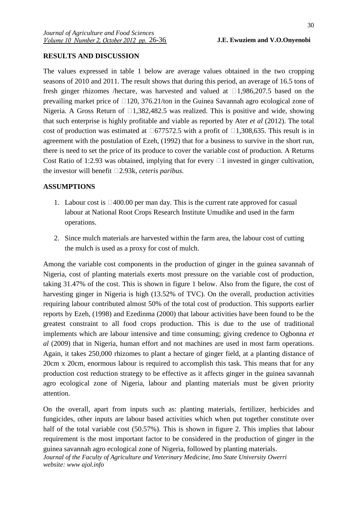## **RESULTS AND DISCUSSION**

The values expressed in table 1 below are average values obtained in the two cropping seasons of 2010 and 2011. The result shows that during this period, an average of 16.5 tons of fresh ginger rhizomes /hectare, was harvested and valued at  $\Box$ 1,986,207.5 based on the prevailing market price of  $\Box$ 120, 376.21/ton in the Guinea Savannah agro ecological zone of Nigeria. A Gross Return of  $\Box$ 1,382,482.5 was realized. This is positive and wide, showing that such enterprise is highly profitable and viable as reported by Ater *et al* (2012). The total cost of production was estimated at  $\Box$  677572.5 with a profit of  $\Box$ 1,308,635. This result is in agreement with the postulation of Ezeh, (1992) that for a business to survive in the short run, there is need to set the price of its produce to cover the variable cost of production. A Returns Cost Ratio of 1:2.93 was obtained, implying that for every  $\Box$  1 invested in ginger cultivation, the investor will benefit  $\Box$ 2.93k, *ceteris paribus.* 

## **ASSUMPTIONS**

- 1. Labour cost is  $\Box 400.00$  per man day. This is the current rate approved for casual labour at National Root Crops Research Institute Umudike and used in the farm operations.
- 2. Since mulch materials are harvested within the farm area, the labour cost of cutting the mulch is used as a proxy for cost of mulch.

Among the variable cost components in the production of ginger in the guinea savannah of Nigeria, cost of planting materials exerts most pressure on the variable cost of production, taking 31.47% of the cost. This is shown in figure 1 below. Also from the figure, the cost of harvesting ginger in Nigeria is high (13.52% of TVC). On the overall, production activities requiring labour contributed almost 50% of the total cost of production. This supports earlier reports by Ezeh, (1998) and Ezedinma (2000) that labour activities have been found to be the greatest constraint to all food crops production. This is due to the use of traditional implements which are labour intensive and time consuming; giving credence to Ogbonna *et al* (2009) that in Nigeria, human effort and not machines are used in most farm operations. Again, it takes 250,000 rhizomes to plant a hectare of ginger field, at a planting distance of 20cm x 20cm, enormous labour is required to accomplish this task. This means that for any production cost reduction strategy to be effective as it affects ginger in the guinea savannah agro ecological zone of Nigeria, labour and planting materials must be given priority attention.

On the overall, apart from inputs such as: planting materials, fertilizer, herbicides and fungicides, other inputs are labour based activities which when put together constitute over half of the total variable cost (50.57%). This is shown in figure 2. This implies that labour requirement is the most important factor to be considered in the production of ginger in the guinea savannah agro ecological zone of Nigeria, followed by planting materials.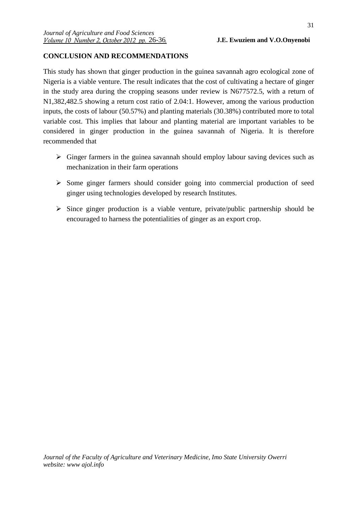# **CONCLUSION AND RECOMMENDATIONS**

This study has shown that ginger production in the guinea savannah agro ecological zone of Nigeria is a viable venture. The result indicates that the cost of cultivating a hectare of ginger in the study area during the cropping seasons under review is N677572.5, with a return of N1,382,482.5 showing a return cost ratio of 2.04:1. However, among the various production inputs, the costs of labour (50.57%) and planting materials (30.38%) contributed more to total variable cost. This implies that labour and planting material are important variables to be considered in ginger production in the guinea savannah of Nigeria. It is therefore recommended that

- Ginger farmers in the guinea savannah should employ labour saving devices such as mechanization in their farm operations
- > Some ginger farmers should consider going into commercial production of seed ginger using technologies developed by research Institutes.
- Since ginger production is a viable venture, private/public partnership should be encouraged to harness the potentialities of ginger as an export crop.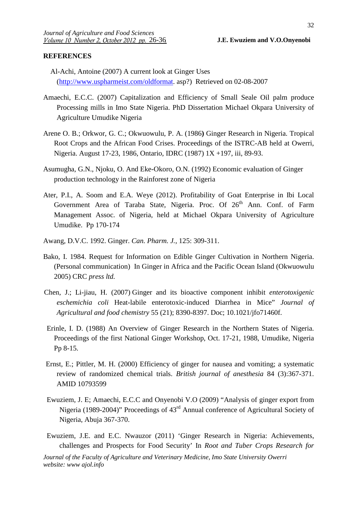#### **REFERENCES**

- Al-Achi, Antoine (2007) A current look at Ginger Uses (http://www.uspharmeist.com/oldformat. asp?) Retrieved on 02-08-2007
- Amaechi, E.C.C. (2007) Capitalization and Efficiency of Small Seale Oil palm produce Processing mills in Imo State Nigeria. PhD Dissertation Michael Okpara University of Agriculture Umudike Nigeria
- Arene O. B.; Orkwor, G. C.; Okwuowulu, P. A. (1986**)** Ginger Research in Nigeria. Tropical Root Crops and the African Food Crises. Proceedings of the ISTRC-AB held at Owerri, Nigeria. August 17-23, 1986, Ontario, IDRC (1987) 1X +197, iii, 89-93.
- Asumugha, G.N., Njoku, O. And Eke-Okoro, O.N. (1992) Economic evaluation of Ginger production technology in the Rainforest zone of Nigeria
- Ater, P.I., A. Soom and E.A. Weye (2012). Profitability of Goat Enterprise in Ibi Local Government Area of Taraba State, Nigeria. Proc. Of 26<sup>th</sup> Ann. Conf. of Farm Management Assoc. of Nigeria, held at Michael Okpara University of Agriculture Umudike. Pp 170-174
- Awang, D.V.C. 1992. Ginger. *Can. Pharm. J.*, 125: 309-311.
- Bako, I. 1984. Request for Information on Edible Ginger Cultivation in Northern Nigeria. (Personal communication) In Ginger in Africa and the Pacific Ocean Island (Okwuowulu 2005) CRC *press ltd.*
- Chen, J.; Li-jiau, H. (2007) Ginger and its bioactive component inhibit *enterotoxigenic eschemichia coli* Heat-labile enterotoxic-induced Diarrhea in Mice" *Journal of Agricultural and food chemistry* 55 (21); 8390-8397. Doc; 10.1021/jfo71460f.
- Erinle, I. D. (1988) An Overview of Ginger Research in the Northern States of Nigeria. Proceedings of the first National Ginger Workshop, Oct. 17-21, 1988, Umudike, Nigeria Pp 8-15.
- Ernst, E.; Pittler, M. H. (2000) Efficiency of ginger for nausea and vomiting; a systematic review of randomized chemical trials. *British journal of anesthesia* 84 (3):367-371. AMID 10793599
- Ewuziem, J. E; Amaechi, E.C.C and Onyenobi V.O (2009) "Analysis of ginger export from Nigeria (1989-2004)" Proceedings of 43rd Annual conference of Agricultural Society of Nigeria, Abuja 367-370.
- Ewuziem, J.E. and E.C. Nwauzor (2011) 'Ginger Research in Nigeria: Achievements, challenges and Prospects for Food Security' In *Root and Tuber Crops Research for*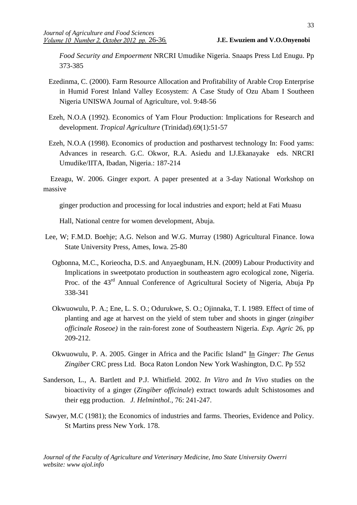*Food Security and Empoerment* NRCRI Umudike Nigeria. Snaaps Press Ltd Enugu. Pp 373-385

- Ezedinma, C. (2000). Farm Resource Allocation and Profitability of Arable Crop Enterprise in Humid Forest Inland Valley Ecosystem: A Case Study of Ozu Abam I Southeen Nigeria UNISWA Journal of Agriculture, vol. 9:48-56
- Ezeh, N.O.A (1992). Economics of Yam Flour Production: Implications for Research and development. *Tropical Agriculture* (Trinidad).69(1):51-57
- Ezeh, N.O.A (1998). Economics of production and postharvest technology In: Food yams: Advances in research. G.C. Okwor, R.A. Asiedu and I.J.Ekanayake eds. NRCRI Umudike/IITA, Ibadan, Nigeria.: 187-214

 Ezeagu, W. 2006. Ginger export. A paper presented at a 3-day National Workshop on massive

ginger production and processing for local industries and export; held at Fati Muasu

Hall, National centre for women development, Abuja.

- Lee, W; F.M.D. Boehje; A.G. Nelson and W.G. Murray (1980) Agricultural Finance. Iowa State University Press, Ames, Iowa. 25-80
	- Ogbonna, M.C., Korieocha, D.S. and Anyaegbunam, H.N. (2009) Labour Productivity and Implications in sweetpotato production in southeastern agro ecological zone, Nigeria. Proc. of the 43<sup>rd</sup> Annual Conference of Agricultural Society of Nigeria, Abuja Pp 338-341
	- Okwuowulu, P. A.; Ene, L. S. O.; Odurukwe, S. O.; Ojinnaka, T. I. 1989. Effect of time of planting and age at harvest on the yield of stem tuber and shoots in ginger (*zingiber officinale Roseoe)* in the rain-forest zone of Southeastern Nigeria. *Exp. Agric* 26, pp 209-212.
	- Okwuowulu, P. A. 2005. Ginger in Africa and the Pacific Island" In *Ginger: The Genus Zingiber* CRC press Ltd. Boca Raton London New York Washington, D.C. Pp 552
- Sanderson, L., A. Bartlett and P.J. Whitfield. 2002. *In Vitro* and *In Vivo* studies on the bioactivity of a ginger (*Zingiber officinale*) extract towards adult Schistosomes and their egg production. *J. Helminthol.,* 76: 241-247.
- Sawyer, M.C (1981); the Economics of industries and farms. Theories, Evidence and Policy. St Martins press New York. 178.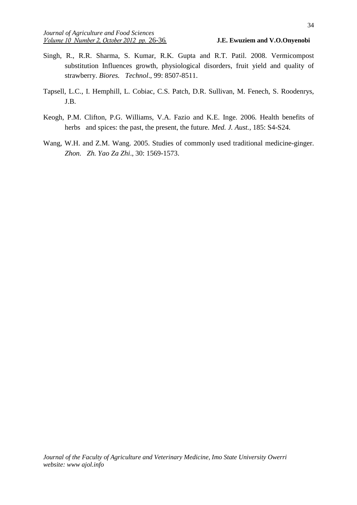- Singh, R., R.R. Sharma, S. Kumar, R.K. Gupta and R.T. Patil. 2008. Vermicompost substitution Influences growth, physiological disorders, fruit yield and quality of strawberry. *Biores. Technol*., 99: 8507-8511.
- Tapsell, L.C., I. Hemphill, L. Cobiac, C.S. Patch, D.R. Sullivan, M. Fenech, S. Roodenrys, J.B.
- Keogh, P.M. Clifton, P.G. Williams, V.A. Fazio and K.E. Inge. 2006. Health benefits of herbs and spices: the past, the present, the future*. Med. J. Aust.,* 185: S4-S24.
- Wang, W.H. and Z.M. Wang. 2005. Studies of commonly used traditional medicine-ginger. *Zhon. Zh. Yao Za Zhi*., 30: 1569-1573.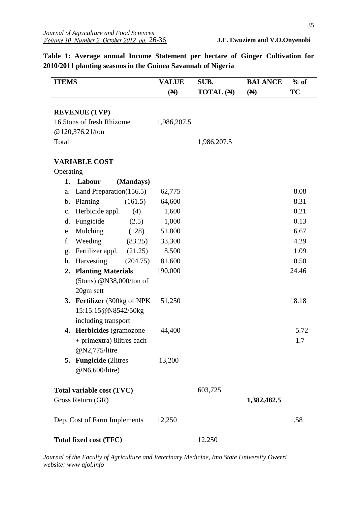| <b>ITEMS</b>                  |                                                   |           | <b>VALUE</b><br>$(\mathbb{N})$ | SUB.<br><b>TOTAL</b> (N) | <b>BALANCE</b><br>(N) | $%$ of<br>TC |
|-------------------------------|---------------------------------------------------|-----------|--------------------------------|--------------------------|-----------------------|--------------|
|                               | <b>REVENUE (TVP)</b>                              |           |                                |                          |                       |              |
| 16.5tons of fresh Rhizome     |                                                   |           | 1,986,207.5                    |                          |                       |              |
| @120,376.21/ton               |                                                   |           |                                |                          |                       |              |
| Total                         |                                                   |           | 1,986,207.5                    |                          |                       |              |
|                               | <b>VARIABLE COST</b>                              |           |                                |                          |                       |              |
| Operating                     |                                                   |           |                                |                          |                       |              |
|                               | 1. Labour                                         | (Mandays) |                                |                          |                       |              |
| a.                            | Land Preparation(156.5)                           |           | 62,775                         |                          |                       | 8.08         |
|                               | b. Planting                                       | (161.5)   | 64,600                         |                          |                       | 8.31         |
| $\mathbf{c}$ .                | Herbicide appl.                                   | (4)       | 1,600                          |                          |                       | 0.21         |
| d.                            | Fungicide                                         | (2.5)     | 1,000                          |                          |                       | 0.13         |
| e.                            | Mulching                                          | (128)     | 51,800                         |                          |                       | 6.67         |
| f.                            | Weeding                                           | (83.25)   | 33,300                         |                          |                       | 4.29         |
| g.                            | Fertilizer appl.                                  | (21.25)   | 8,500                          |                          |                       | 1.09         |
| h.                            | Harvesting                                        | (204.75)  | 81,600                         |                          |                       | 10.50        |
|                               | 2. Planting Materials                             |           | 190,000                        |                          |                       | 24.46        |
|                               | (5tons) @N38,000/ton of                           |           |                                |                          |                       |              |
|                               | 20gm sett                                         |           |                                |                          |                       |              |
|                               | 3. Fertilizer (300kg of NPK)                      |           | 51,250                         |                          |                       | 18.18        |
|                               | 15:15:15@N8542/50kg                               |           |                                |                          |                       |              |
|                               | including transport                               |           |                                |                          |                       |              |
|                               | 4. Herbicides (gramozone                          |           | 44,400                         |                          |                       | 5.72         |
|                               | + primextra) 8 litres each                        |           |                                |                          |                       | 1.7          |
|                               | @N2,775/litre                                     |           |                                |                          |                       |              |
|                               | <b>Fungicide</b> (2litres<br>5.<br>@N6,600/litre) |           | 13,200                         |                          |                       |              |
|                               | Total variable cost (TVC)                         |           |                                | 603,725                  |                       |              |
| Gross Return (GR)             |                                                   |           |                                |                          | 1,382,482.5           |              |
| Dep. Cost of Farm Implements  |                                                   |           | 12,250                         |                          |                       | 1.58         |
| <b>Total fixed cost (TFC)</b> |                                                   |           |                                | 12,250                   |                       |              |

**Table 1: Average annual Income Statement per hectare of Ginger Cultivation for 2010/2011 planting seasons in the Guinea Savannah of Nigeria**